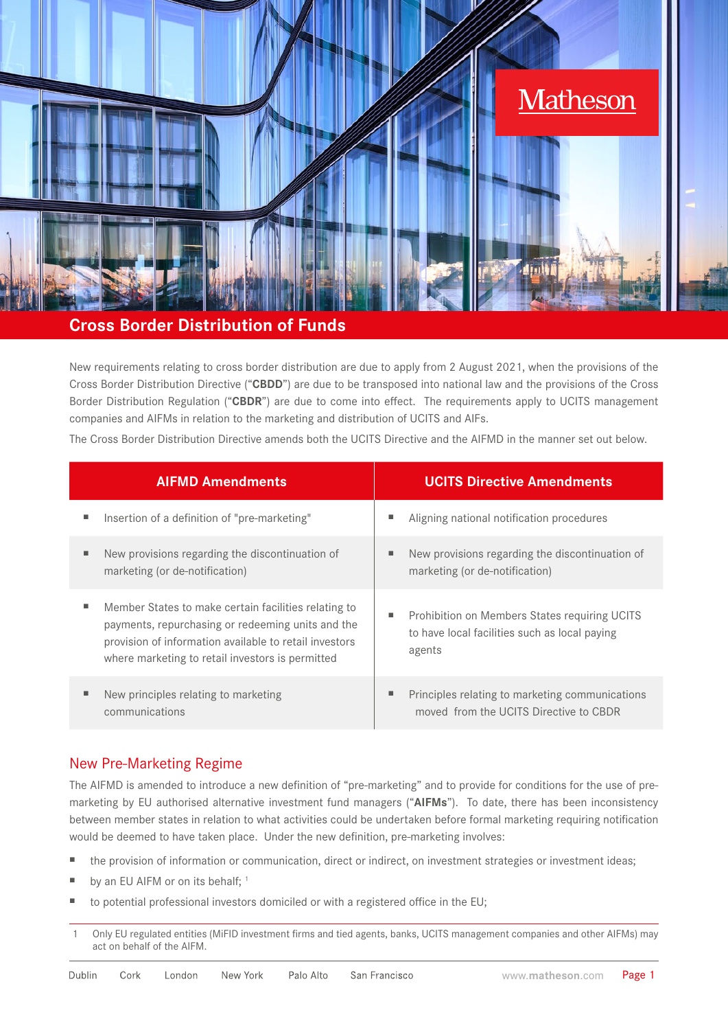

# **Cross Border Distribution of Funds**

New requirements relating to cross border distribution are due to apply from 2 August 2021, when the provisions of the Cross Border Distribution Directive ("**CBDD**") are due to be transposed into national law and the provisions of the Cross Border Distribution Regulation ("**CBDR**") are due to come into effect. The requirements apply to UCITS management companies and AIFMs in relation to the marketing and distribution of UCITS and AIFs.

The Cross Border Distribution Directive amends both the UCITS Directive and the AIFMD in the manner set out below.

| <b>AIFMD Amendments</b>                                                                                                                                                                                                      | <b>UCITS Directive Amendments</b>                                                                        |
|------------------------------------------------------------------------------------------------------------------------------------------------------------------------------------------------------------------------------|----------------------------------------------------------------------------------------------------------|
| ш<br>Insertion of a definition of "pre-marketing"                                                                                                                                                                            | Aligning national notification procedures                                                                |
| New provisions regarding the discontinuation of<br>п<br>marketing (or de-notification)                                                                                                                                       | New provisions regarding the discontinuation of<br>marketing (or de-notification)                        |
| Member States to make certain facilities relating to<br>ш<br>payments, repurchasing or redeeming units and the<br>provision of information available to retail investors<br>where marketing to retail investors is permitted | Prohibition on Members States requiring UCITS<br>to have local facilities such as local paying<br>agents |
| New principles relating to marketing<br>п<br>communications                                                                                                                                                                  | Principles relating to marketing communications<br>moved from the UCITS Directive to CBDR                |

## New Pre-Marketing Regime

The AIFMD is amended to introduce a new definition of "pre-marketing" and to provide for conditions for the use of premarketing by EU authorised alternative investment fund managers ("**AIFMs**"). To date, there has been inconsistency between member states in relation to what activities could be undertaken before formal marketing requiring notification would be deemed to have taken place. Under the new definition, pre-marketing involves:

- the provision of information or communication, direct or indirect, on investment strategies or investment ideas;
- by an EU AIFM or on its behalf; <sup>1</sup>
- to potential professional investors domiciled or with a registered office in the EU;
- 1 Only EU regulated entities (MiFID investment firms and tied agents, banks, UCITS management companies and other AIFMs) may act on behalf of the AIFM.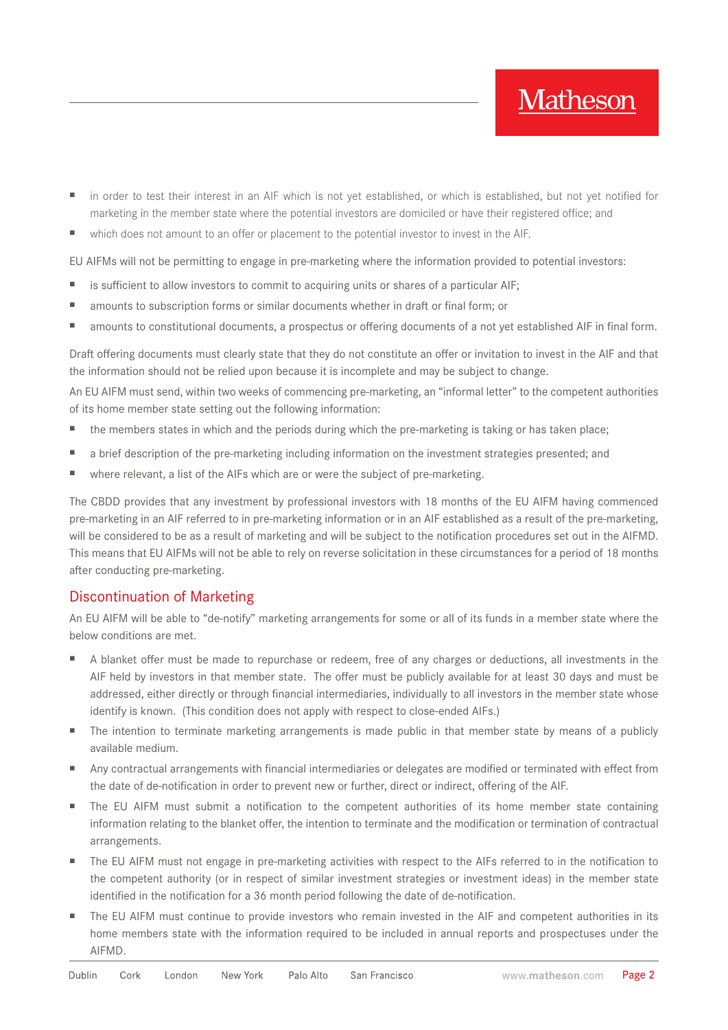- in order to test their interest in an AIF which is not yet established, or which is established, but not yet notified for marketing in the member state where the potential investors are domiciled or have their registered office; and
- which does not amount to an offer or placement to the potential investor to invest in the AIF.

EU AIFMs will not be permitting to engage in pre-marketing where the information provided to potential investors:

- is sufficient to allow investors to commit to acquiring units or shares of a particular AIF;
- amounts to subscription forms or similar documents whether in draft or final form; or
- amounts to constitutional documents, a prospectus or offering documents of a not yet established AIF in final form.

Draft offering documents must clearly state that they do not constitute an offer or invitation to invest in the AIF and that the information should not be relied upon because it is incomplete and may be subject to change.

An EU AIFM must send, within two weeks of commencing pre-marketing, an "informal letter" to the competent authorities of its home member state setting out the following information:

- the members states in which and the periods during which the pre-marketing is taking or has taken place;
- a brief description of the pre-marketing including information on the investment strategies presented; and
- where relevant, a list of the AIFs which are or were the subject of pre-marketing.

The CBDD provides that any investment by professional investors with 18 months of the EU AIFM having commenced pre-marketing in an AIF referred to in pre-marketing information or in an AIF established as a result of the pre-marketing, will be considered to be as a result of marketing and will be subject to the notification procedures set out in the AIFMD. This means that EU AIFMs will not be able to rely on reverse solicitation in these circumstances for a period of 18 months after conducting pre-marketing.

## Discontinuation of Marketing

An EU AIFM will be able to "de-notify" marketing arrangements for some or all of its funds in a member state where the below conditions are met.

- A blanket offer must be made to repurchase or redeem, free of any charges or deductions, all investments in the AIF held by investors in that member state. The offer must be publicly available for at least 30 days and must be addressed, either directly or through financial intermediaries, individually to all investors in the member state whose identify is known. (This condition does not apply with respect to close-ended AIFs.)
- The intention to terminate marketing arrangements is made public in that member state by means of a publicly available medium.
- Any contractual arrangements with financial intermediaries or delegates are modified or terminated with effect from the date of de-notification in order to prevent new or further, direct or indirect, offering of the AIF.
- The EU AIFM must submit a notification to the competent authorities of its home member state containing information relating to the blanket offer, the intention to terminate and the modification or termination of contractual arrangements.
- The EU AIFM must not engage in pre-marketing activities with respect to the AIFs referred to in the notification to the competent authority (or in respect of similar investment strategies or investment ideas) in the member state identified in the notification for a 36 month period following the date of de-notification.
- The EU AIFM must continue to provide investors who remain invested in the AIF and competent authorities in its home members state with the information required to be included in annual reports and prospectuses under the AIFMD.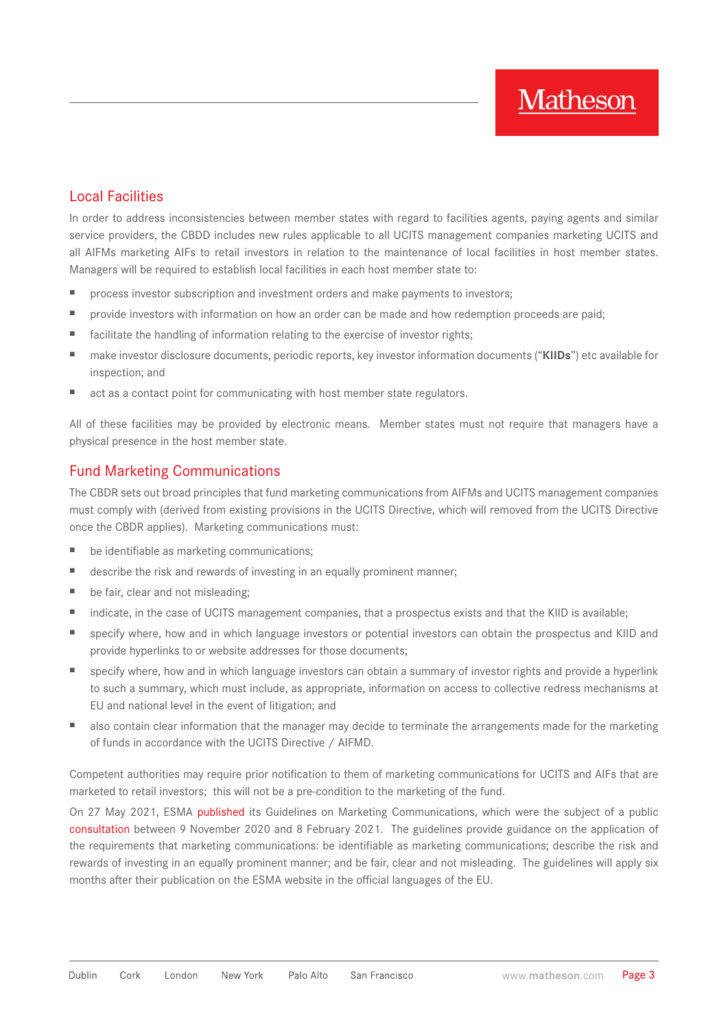## Local Facilities

In order to address inconsistencies between member states with regard to facilities agents, paying agents and similar service providers, the CBDD includes new rules applicable to all UCITS management companies marketing UCITS and all AIFMs marketing AIFs to retail investors in relation to the maintenance of local facilities in host member states. Managers will be required to establish local facilities in each host member state to:

- process investor subscription and investment orders and make payments to investors;
- provide investors with information on how an order can be made and how redemption proceeds are paid;
- facilitate the handling of information relating to the exercise of investor rights;
- make investor disclosure documents, periodic reports, key investor information documents ("KIIDs") etc available for inspection; and
- act as a contact point for communicating with host member state regulators.

All of these facilities may be provided by electronic means. Member states must not require that managers have a physical presence in the host member state.

# Fund Marketing Communications

The CBDR sets out broad principles that fund marketing communications from AIFMs and UCITS management companies must comply with (derived from existing provisions in the UCITS Directive, which will removed from the UCITS Directive once the CBDR applies). Marketing communications must:

- be identifiable as marketing communications;
- describe the risk and rewards of investing in an equally prominent manner;
- be fair, clear and not misleading;
- indicate, in the case of UCITS management companies, that a prospectus exists and that the KIID is available;
- specify where, how and in which language investors or potential investors can obtain the prospectus and KIID and provide hyperlinks to or website addresses for those documents;
- specify where, how and in which language investors can obtain a summary of investor rights and provide a hyperlink to such a summary, which must include, as appropriate, information on access to collective redress mechanisms at EU and national level in the event of litigation; and
- also contain clear information that the manager may decide to terminate the arrangements made for the marketing of funds in accordance with the UCITS Directive / AIFMD.

Competent authorities may require prior notification to them of marketing communications for UCITS and AIFs that are marketed to retail investors; this will not be a pre-condition to the marketing of the fund.

On 27 May 2021, ESMA [published](https://www.esma.europa.eu/sites/default/files/library/esma34-45-1244_-_final_report_on_the_guidelines_on_marketing_communications.pdf) its Guidelines on Marketing Communications, which were the subject of a public [consultation](https://www.esma.europa.eu/sites/default/files/library/esma34-45-926_-_cp_guidelines_on_marketing_communications.pdf) between 9 November 2020 and 8 February 2021. The guidelines provide guidance on the application of the requirements that marketing communications: be identifiable as marketing communications; describe the risk and rewards of investing in an equally prominent manner; and be fair, clear and not misleading. The guidelines will apply six months after their publication on the ESMA website in the official languages of the EU.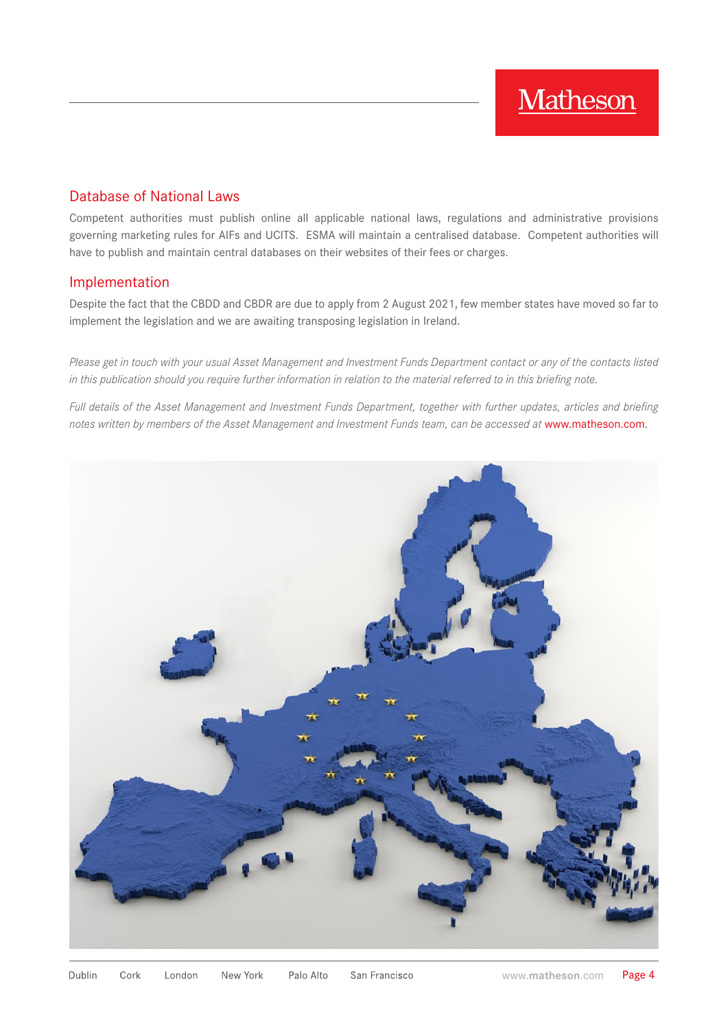## Database of National Laws

Competent authorities must publish online all applicable national laws, regulations and administrative provisions governing marketing rules for AIFs and UCITS. ESMA will maintain a centralised database. Competent authorities will have to publish and maintain central databases on their websites of their fees or charges.

## Implementation

Despite the fact that the CBDD and CBDR are due to apply from 2 August 2021, few member states have moved so far to implement the legislation and we are awaiting transposing legislation in Ireland.

*Please get in touch with your usual Asset Management and Investment Funds Department contact or any of the contacts listed in this publication should you require further information in relation to the material referred to in this briefing note.*

*Full details of the Asset Management and Investment Funds Department, together with further updates, articles and briefing notes written by members of the Asset Management and Investment Funds team, can be accessed at* [www.matheson.com](http://www.matheson.com).